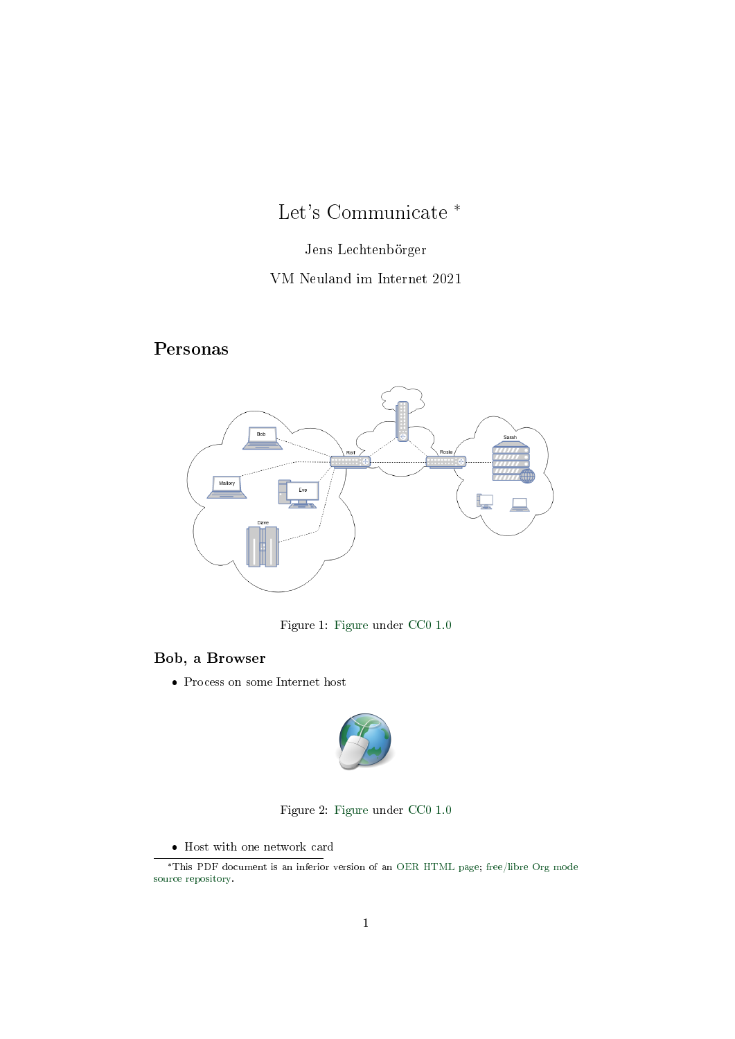# Let's Communicate \*

## Jens Lechtenbörger

## VM Neuland im Internet 2021

## Personas



Figure 1: [Figure](https://gitlab.com/oer/figures/blob/master/Internet/play-network.drawio) under [CC0 1.0](https://creativecommons.org/publicdomain/zero/1.0/)

#### Bob, a Browser

Process on some Internet host



Figure 2: [Figure](https://commons.wikimedia.org/wiki/File:Web-browser-openclipart.svg) under [CC0 1.0](https://creativecommons.org/publicdomain/zero/1.0/)

 $\bullet\,$  Host with one network card

<sup>\*</sup>This PDF document is an inferior version of an [OER HTML page;](https://oer.gitlab.io/oer-courses/vm-neuland/Play.html) [free/libre Org mode](https://gitlab.com/oer/oer-courses/vm-neuland) [source repository.](https://gitlab.com/oer/oer-courses/vm-neuland)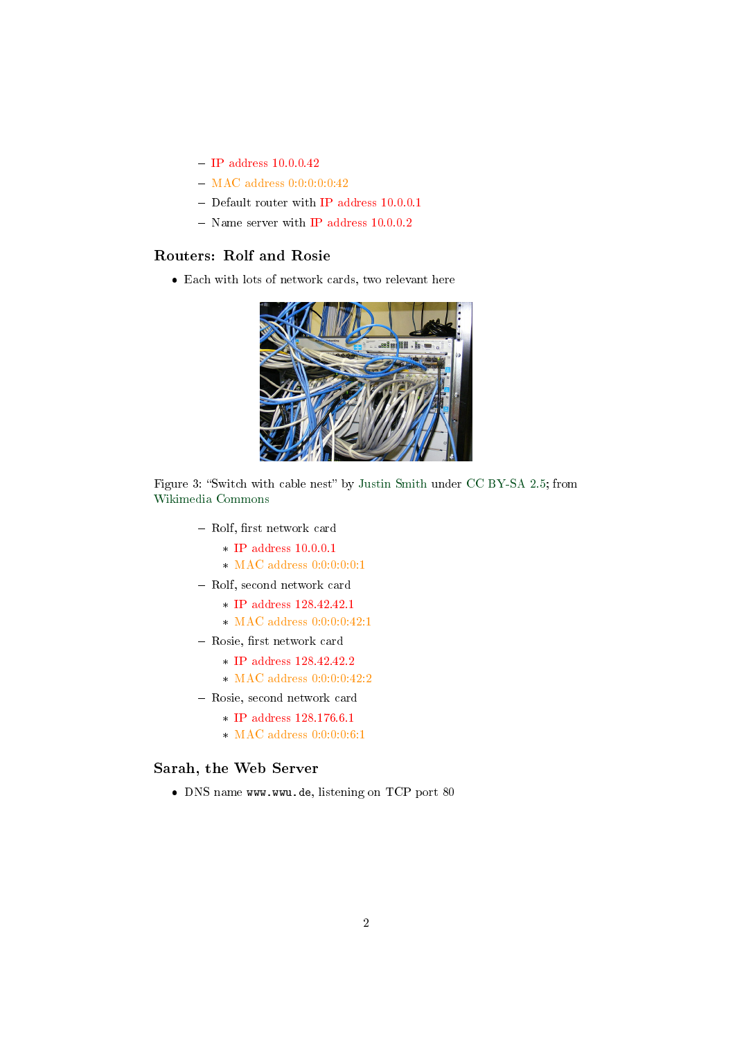- $-$  IP address  $10.0.0.42$
- $-$  MAC address  $0:0:0:0:0:42$
- Default router with IP address 10.0.0.1
- $-$  Name server with IP address  $10.0.0.2$

#### Routers: Rolf and Rosie

Each with lots of network cards, two relevant here



Figure 3: "Switch with cable nest" by [Justin Smith](https://en.wikipedia.org/wiki/User:J.smith) under [CC BY-SA 2.5;](https://creativecommons.org/licenses/by-sa/2.5/) from [Wikimedia Commons](https://commons.wikimedia.org/wiki/File:Switch-and-nest.jpg)

- Rolf, first network card
	- \* IP address 10.0.0.1
	- \* MAC address 0:0:0:0:0:1
- Rolf, second network card
	- \* IP address 128.42.42.1
	- \* MAC address 0:0:0:0:42:1
- Rosie, first network card
	- \* IP address 128.42.42.2
	- \* MAC address 0:0:0:0:42:2
- Rosie, second network card
	- \* IP address 128.176.6.1
	- \* MAC address  $0:0:0:0:6:1$

#### Sarah, the Web Server

DNS name www.wwu.de, listening on TCP port 80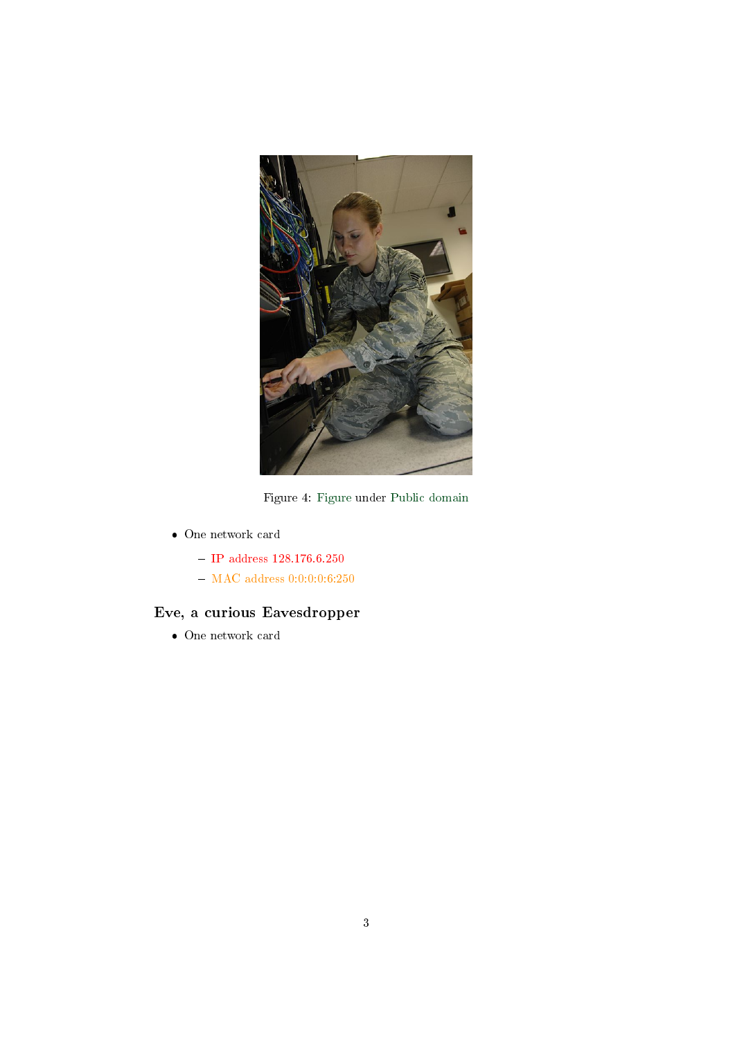

Figure 4: [Figure](https://commons.wikimedia.org/wiki/File:Power_backup_for_Network_Server.jpg) under [Public domain](https://creativecommons.org/publicdomain/zero/1.0/)

- One network card
	- $-$  IP address  $128.176.6.250$
	- $-$  MAC address  $0:0:0:0:6:250$

## Eve, a curious Eavesdropper

One network card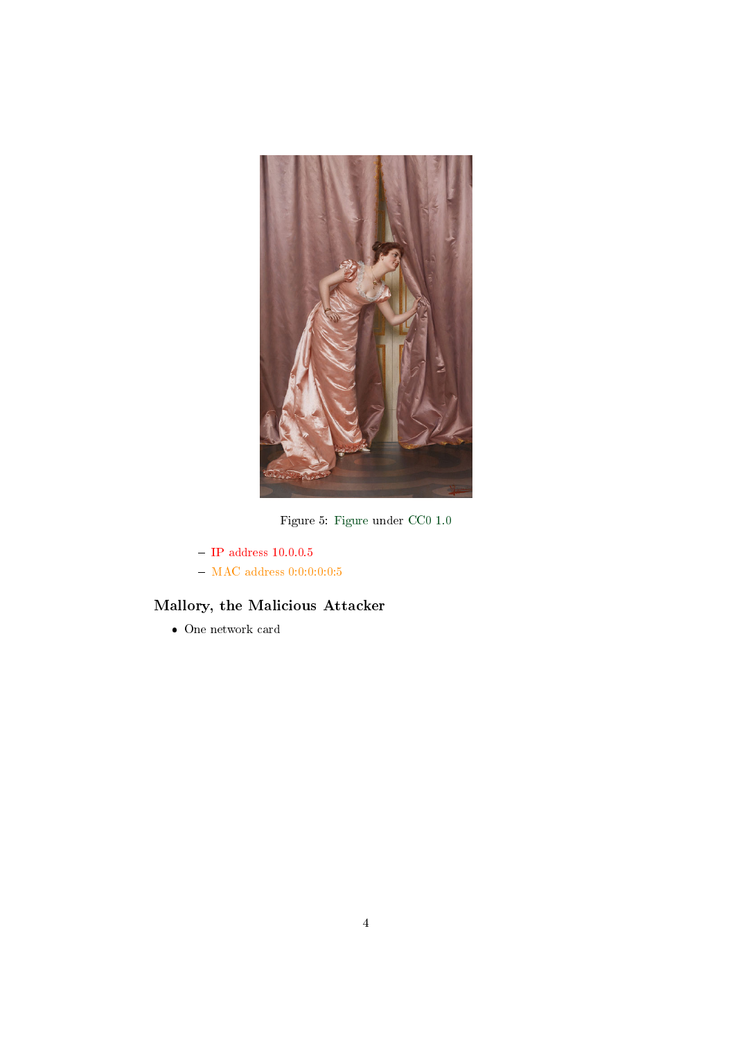

Figure 5: [Figure](https://commons.wikimedia.org/wiki/File:Vittorio_Reggianini_Eavesdropping.jpg) under [CC0 1.0](https://creativecommons.org/publicdomain/zero/1.0/)

- $-$  IP address  $10.0.0.5$
- $-$  MAC address  $0:0:0:0:0:5$

## Mallory, the Malicious Attacker

One network card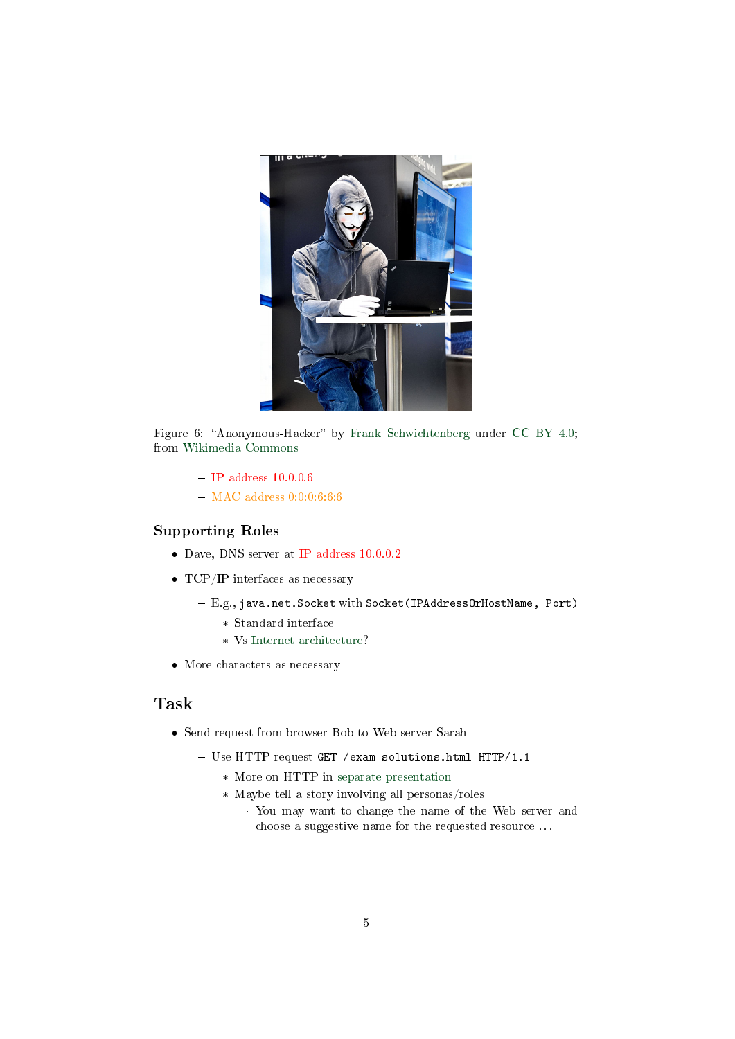

Figure 6: "Anonymous-Hacker" by [Frank Schwichtenberg](https://commons.wikimedia.org/wiki/User:Huhu_Uet) under [CC BY 4.0;](https://creativecommons.org/licenses/by/4.0/) from [Wikimedia Commons](https://commons.wikimedia.org/wiki/File:Anonymous_%E2%80%93_CeBIT_2016_00.jpg)

- $-$  IP address 10.0.0.6
- MAC address 0:0:0:6:6:6

#### Supporting Roles

- Dave, DNS server at IP address 10.0.0.2
- TCP/IP interfaces as necessary
	- E.g., java.net.Socket with Socket(IPAddressOrHostName, Port)
		- \* Standard interface
		- \* Vs [Internet architecture?](https://oer.gitlab.io/oer-courses/vm-neuland/Internet.html#slide-internet-architecture)
- More characters as necessary

## Task

- Send request from browser Bob to Web server Sarah
	- Use HTTP request GET /exam-solutions.html HTTP/1.1
		- \* More on HTTP in [separate presentation](https://oer.gitlab.io/oer-courses/cacs/Web-and-E-Mail.html)
		- \* Maybe tell a story involving all personas/roles
			- · You may want to change the name of the Web server and choose a suggestive name for the requested resource . . .